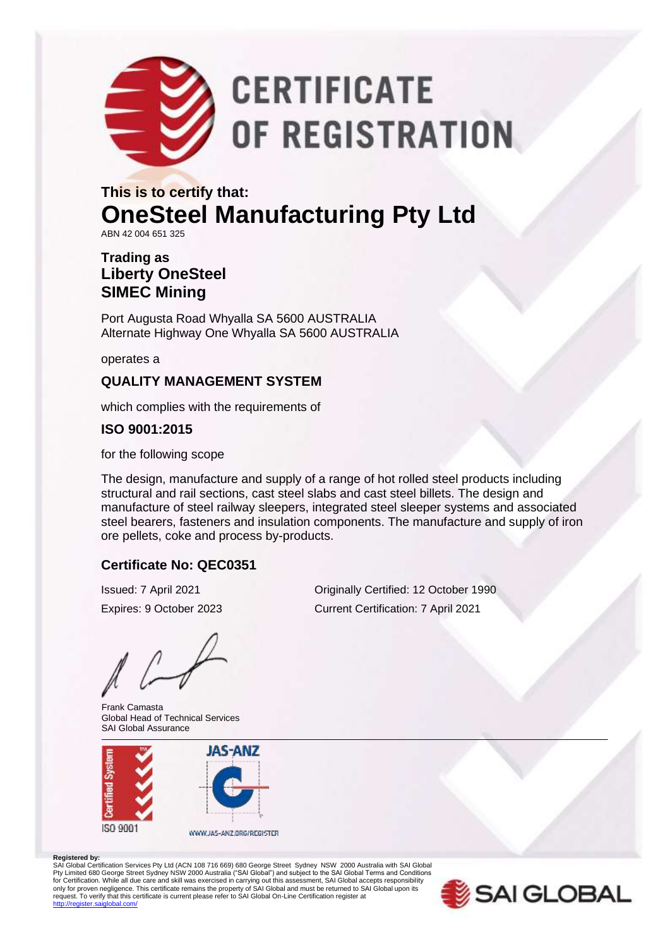

# **CERTIFICATE** OF REGISTRATION

### **This is to certify that: OneSteel Manufacturing Pty Ltd** ABN 42 004 651 325

#### **Trading as Liberty OneSteel SIMEC Mining**

Port Augusta Road Whyalla SA 5600 AUSTRALIA Alternate Highway One Whyalla SA 5600 AUSTRALIA

operates a

#### **QUALITY MANAGEMENT SYSTEM**

which complies with the requirements of

#### **ISO 9001:2015**

for the following scope

The design, manufacture and supply of a range of hot rolled steel products including structural and rail sections, cast steel slabs and cast steel billets. The design and manufacture of steel railway sleepers, integrated steel sleeper systems and associated steel bearers, fasteners and insulation components. The manufacture and supply of iron ore pellets, coke and process by-products.

#### **Certificate No: QEC0351**

Frank Camasta Global Head of Technical Services SAI Global Assurance



Issued: 7 April 2021 Originally Certified: 12 October 1990 Expires: 9 October 2023 Current Certification: 7 April 2021

#### **Registered by:**

SAI Global Certification Services Pty Ltd (ACN 108 716 669) 680 George Street Sydney NSW 2000 Australia with SAI Global Pty Limited 680 George Street Sydney NSW 2000 Australia ("SAI Global") and subject to the SAI Global Terms and Conditions<br>for Certification. While all due care and skill was exercised in carrying out this assessment, SAI G only for proven negligence. This certificate remains the property of SAI Global and must be returned to SAI Global upon its<br>request. To verify that this certificate is current please refer to SAI Global On-Line Certificati http://register.com/